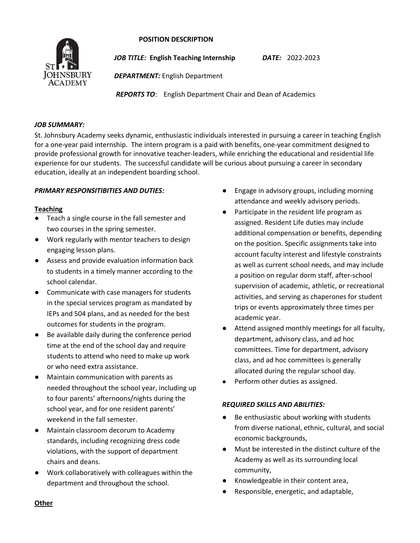#### **POSITION DESCRIPTION**



*JOB TITLE:* **English Teaching Internship** *DATE:* 2022-2023

*DEPARTMENT:* English Department

*REPORTS TO*: English Department Chair and Dean of Academics

### *JOB SUMMARY:*

St. Johnsbury Academy seeks dynamic, enthusiastic individuals interested in pursuing a career in teaching English for a one-year paid internship. The intern program is a paid with benefits, one-year commitment designed to provide professional growth for innovative teacher-leaders, while enriching the educational and residential life experience for our students. The successful candidate will be curious about pursuing a career in secondary education, ideally at an independent boarding school.

# *PRIMARY RESPONSITIBITIES AND DUTIES:*

# **Teaching**

- Teach a single course in the fall semester and two courses in the spring semester.
- Work regularly with mentor teachers to design engaging lesson plans.
- Assess and provide evaluation information back to students in a timely manner according to the school calendar.
- Communicate with case managers for students in the special services program as mandated by IEPs and 504 plans, and as needed for the best outcomes for students in the program.
- Be available daily during the conference period time at the end of the school day and require students to attend who need to make up work or who need extra assistance.
- Maintain communication with parents as needed throughout the school year, including up to four parents' afternoons/nights during the school year, and for one resident parents' weekend in the fall semester.
- Maintain classroom decorum to Academy standards, including recognizing dress code violations, with the support of department chairs and deans.
- Work collaboratively with colleagues within the department and throughout the school.
- Engage in advisory groups, including morning attendance and weekly advisory periods.
- Participate in the resident life program as assigned. Resident Life duties may include additional compensation or benefits, depending on the position. Specific assignments take into account faculty interest and lifestyle constraints as well as current school needs, and may include a position on regular dorm staff, after-school supervision of academic, athletic, or recreational activities, and serving as chaperones for student trips or events approximately three times per academic year.
- Attend assigned monthly meetings for all faculty, department, advisory class, and ad hoc committees. Time for department, advisory class, and ad hoc committees is generally allocated during the regular school day.
- Perform other duties as assigned.

# *REQUIRED SKILLS AND ABILITIES:*

- Be enthusiastic about working with students from diverse national, ethnic, cultural, and social economic backgrounds,
- Must be interested in the distinct culture of the Academy as well as its surrounding local community,
- Knowledgeable in their content area,
- Responsible, energetic, and adaptable,

## **Other**